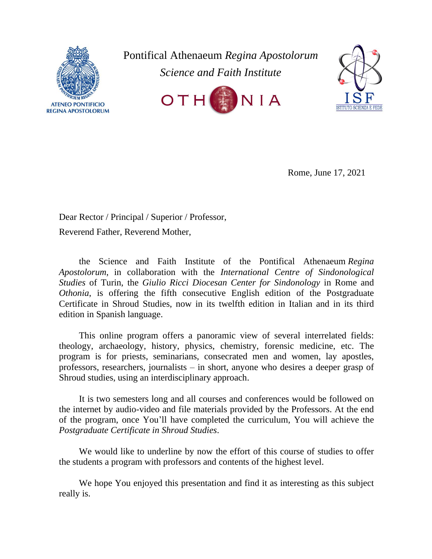

Pontifical Athenaeum *Regina Apostolorum Science and Faith Institute*





Rome, June 17, 2021

Dear Rector / Principal / Superior / Professor, Reverend Father, Reverend Mother,

the Science and Faith Institute of the Pontifical Athenaeum *Regina Apostolorum*, in collaboration with the *International Centre of Sindonological Studies* of Turin, the *Giulio Ricci Diocesan Center for Sindonology* in Rome and *Othonia*, is offering the fifth consecutive English edition of the Postgraduate Certificate in Shroud Studies, now in its twelfth edition in Italian and in its third edition in Spanish language.

This online program offers a panoramic view of several interrelated fields: theology, archaeology, history, physics, chemistry, forensic medicine, etc. The program is for priests, seminarians, consecrated men and women, lay apostles, professors, researchers, journalists – in short, anyone who desires a deeper grasp of Shroud studies, using an interdisciplinary approach.

It is two semesters long and all courses and conferences would be followed on the internet by audio-video and file materials provided by the Professors. At the end of the program, once You'll have completed the curriculum, You will achieve the *Postgraduate Certificate in Shroud Studies*.

We would like to underline by now the effort of this course of studies to offer the students a program with professors and contents of the highest level.

We hope You enjoyed this presentation and find it as interesting as this subject really is.